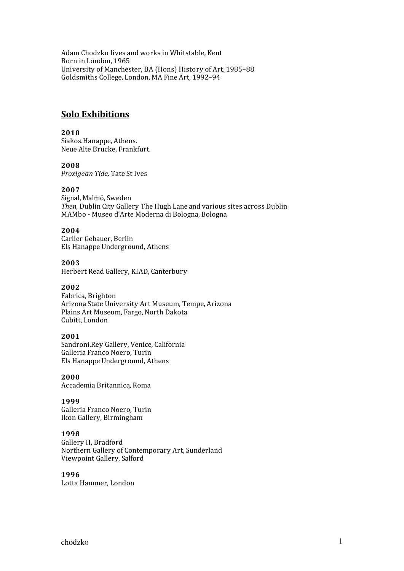Adam Chodzko lives and works in Whitstable, Kent Born in London, 1965 University of Manchester, BA (Hons) History of Art, 1985–88 Goldsmiths College, London, MA Fine Art, 1992–94

## **Solo Exhibitions**

### **2010**

Siakos.Hanappe, Athens. Neue Alte Brucke, Frankfurt.

### **2008**

*Proxigean Tide,* Tate St Ives

## **2007**

Signal, Malmö, Sweden *Then,* Dublin City Gallery The Hugh Lane and various sites across Dublin MAMbo ‐ Museo d'Arte Moderna di Bologna, Bologna

## **2004**

Carlier Gebauer, Berlin Els Hanappe Underground, Athens

## **2003**

Herbert Read Gallery, KIAD, Canterbury

### **2002**

Fabrica, Brighton Arizona State University Art Museum, Tempe, Arizona Plains Art Museum, Fargo, North Dakota Cubitt, London

### **2001**

Sandroni.Rey Gallery, Venice, California Galleria Franco Noero, Turin Els Hanappe Underground, Athens

**2000** 

Accademia Britannica, Roma

### **1999**

Galleria Franco Noero, Turin Ikon Gallery, Birmingham

### **1998**

Gallery II, Bradford Northern Gallery of Contemporary Art, Sunderland Viewpoint Gallery, Salford

### **1996**

Lotta Hammer, London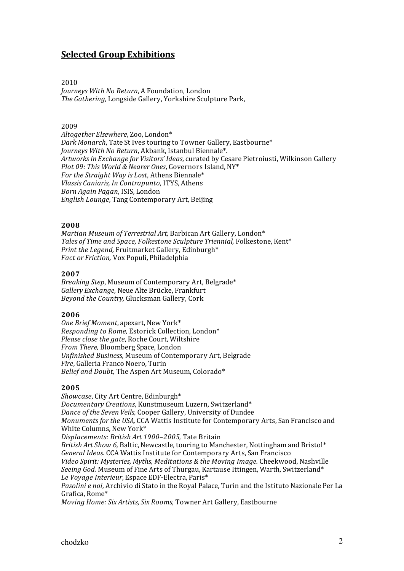# **Selected Group Exhibitions**

### 2010

*Journeys With No Return*, A Foundation, London *The Gathering,* Longside Gallery, Yorkshire Sculpture Park,

### 2009

*Altogether Elsewhere*, Zoo, London\* *Dark Monarch*, Tate St Ives touring to Towner Gallery, Eastbourne\* *Journeys With No Return*, Akbank, Istanbul Biennale\*. *Artworks in Exchange for Visitors' Ideas*, curated by Cesare Pietroiusti, Wilkinson Gallery *Plot 09: This World & Nearer Ones*, Governors Island, NY\* *For the Straight Way is Lost*, Athens Biennale\* *Vlassis Caniaris, In Contrapunto*, ITYS, Athens *Born Again Pagan*, ISIS, London *English Lounge*, Tang Contemporary Art, Beijing

### **2008**

*Martian Museum of Terrestrial Art,* Barbican Art Gallery, London\* *Tales of Time and Space, Folkestone Sculpture Triennial,* Folkestone, Kent\* *Print the Legend,* Fruitmarket Gallery, Edinburgh\* *Fact or Friction,* Vox Populi, Philadelphia

### **2007**

*Breaking Step*, Museum of Contemporary Art, Belgrade\* *Gallery Exchange,* Neue Alte Brücke, Frankfurt *Beyond the Country,* Glucksman Gallery, Cork

### **2006**

*One Brief Moment*, apexart, New York\* *Responding to Rome,* Estorick Collection, London\* *Please close the gate*, Roche Court, Wiltshire *From There,* Bloomberg Space, London *Unfinished Business,* Museum of Contemporary Art, Belgrade *Fire*, Galleria Franco Noero, Turin *Belief and Doubt,* The Aspen Art Museum, Colorado\*

### **2005**

*Showcase*, City Art Centre, Edinburgh\* *Documentary Creations*, Kunstmuseum Luzern, Switzerland\* *Dance of the Seven Veils,* Cooper Gallery, University of Dundee *Monuments for the USA,* CCA Wattis Institute for Contemporary Arts, San Francisco and White Columns, New York\* *Displacements: British Art 1900–2005,* Tate Britain *British Art Show 6,* Baltic, Newcastle, touring to Manchester, Nottingham and Bristol\* *General Ideas.* CCA Wattis Institute for Contemporary Arts, San Francisco *Video Spirit: Mysteries, Myths, Meditations & the Moving Image.* Cheekwood, Nashville *Seeing God.* Museum of Fine Arts of Thurgau, Kartause Ittingen, Warth, Switzerland\* *Le Voyage Interieur*, Espace EDF‐Electra, Paris\* *Pasolini e noi*, Archivio di Stato in the Royal Palace, Turin and the Istituto Nazionale Per La Grafica, Rome\*

*Moving Home: Six Artists, Six Rooms*, Towner Art Gallery, Eastbourne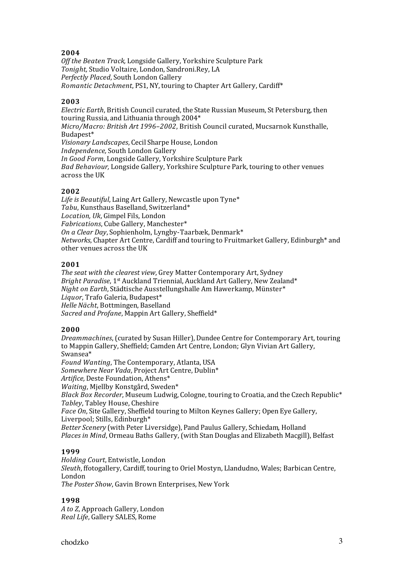## **2004**

*Off the Beaten Track,* Longside Gallery, Yorkshire Sculpture Park *Tonight,* Studio Voltaire, London, Sandroni.Rey, LA *Perfectly Placed*, South London Gallery *Romantic Detachment*, PS1, NY, touring to Chapter Art Gallery, Cardiff\*

## **2003**

*Electric Earth*, British Council curated, the State Russian Museum, St Petersburg, then touring Russia, and Lithuania through 2004\* *Micro/Macro: British Art 1996–2002*, British Council curated, Mucsarnok Kunsthalle, Budapest\* *Visionary Landscapes*, Cecil Sharpe House, London *Independence,* South London Gallery *In Good Form*, Longside Gallery, Yorkshire Sculpture Park *Bad Behaviour,* Longside Gallery, Yorkshire Sculpture Park, touring to other venues across the UK

## **2002**

*Life is Beautiful*, Laing Art Gallery, Newcastle upon Tyne\* *Tabu*, Kunsthaus Baselland, Switzerland\* *Location, Uk*, Gimpel Fils, London *Fabrications*, Cube Gallery, Manchester\* *On a Clear Day*, Sophienholm, Lyngby‐Taarbæk, Denmark\* *Networks*, Chapter Art Centre, Cardiff and touring to Fruitmarket Gallery, Edinburgh\* and other venues across the UK

## **2001**

*The seat with the clearest view*, Grey Matter Contemporary Art, Sydney *Bright Paradise*, 1st Auckland Triennial, Auckland Art Gallery, New Zealand\* *Night on Earth*, Städtische Ausstellungshalle Am Hawerkamp, Münster\* *Liquor*, Trafo Galeria, Budapest\* *Helle Nächt*, Bottmingen, Baselland *Sacred and Profane*, Mappin Art Gallery, Sheffield\*

## **2000**

*Dreammachines*, (curated by Susan Hiller), Dundee Centre for Contemporary Art, touring to Mappin Gallery, Sheffield; Camden Art Centre, London; Glyn Vivian Art Gallery, Swansea\* *Found Wanting*, The Contemporary, Atlanta, USA *Somewhere Near Vada*, Project Art Centre, Dublin\* *Artifice,* Deste Foundation, Athens\* *Waiting*, Mjellby Konstgård, Sweden\* *Black Box Recorder*, Museum Ludwig, Cologne, touring to Croatia, and the Czech Republic\* *Tabley*, Tabley House, Cheshire *Face On*, Site Gallery, Sheffield touring to Milton Keynes Gallery; Open Eye Gallery, Liverpool; Stills, Edinburgh\* *Better Scenery* (with Peter Liversidge), Pand Paulus Gallery, Schiedam*,* Holland *Places in Mind*, Ormeau Baths Gallery, (with Stan Douglas and Elizabeth Macgill), Belfast

## **1999**

*Holding Court*, Entwistle, London *Sleuth*, ffotogallery, Cardiff, touring to Oriel Mostyn, Llandudno, Wales; Barbican Centre, London *The Poster Show*, Gavin Brown Enterprises, New York

## **1998**

*A to Z*, Approach Gallery, London *Real Life*, Gallery SALES, Rome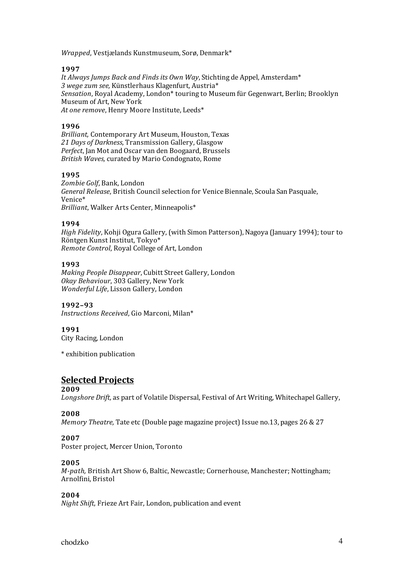*Wrapped*, Vestjælands Kunstmuseum, Sorø, Denmark\*

## **1997**

*It Always Jumps Back and Finds its Own Way*, Stichting de Appel, Amsterdam\* *3 wege zum see,* Künstlerhaus Klagenfurt, Austria\* *Sensation*, Royal Academy, London\* touring to Museum für Gegenwart, Berlin; Brooklyn Museum of Art, New York *At one remove*, Henry Moore Institute, Leeds\*

## **1996**

*Brilliant,* Contemporary Art Museum, Houston, Texas *21 Days of Darkness*, Transmission Gallery, Glasgow *Perfect*, Jan Mot and Oscar van den Boogaard, Brussels *British Waves,* curated by Mario Condognato, Rome

## **1995**

*Zombie Golf*, Bank, London *General Release*, British Council selection for Venice Biennale, Scoula San Pasquale, Venice\* *Brilliant*, Walker Arts Center, Minneapolis\*

## **1994**

*High Fidelity*, Kohji Ogura Gallery, (with Simon Patterson), Nagoya (January 1994); tour to Röntgen Kunst Institut, Tokyo\* *Remote Control*, Royal College of Art, London

### **1993**

*Making People Disappear*, Cubitt Street Gallery, London *Okay Behaviour*, 303 Gallery, New York *Wonderful Life*, Lisson Gallery, London

### **1992–93**

*Instructions Received*, Gio Marconi, Milan\*

## **1991**

City Racing, London

\* exhibition publication

# **Selected Projects**

### **2009**

*Longshore Drift,* as part of Volatile Dispersal, Festival of Art Writing, Whitechapel Gallery,

### **2008**

*Memory Theatre,* Tate etc (Double page magazine project) Issue no.13, pages 26 & 27

## **2007**

Poster project, Mercer Union, Toronto

## **2005**

*M-path,* British Art Show 6, Baltic, Newcastle; Cornerhouse, Manchester; Nottingham; Arnolfini, Bristol

### **2004**

*Night Shift,* Frieze Art Fair, London, publication and event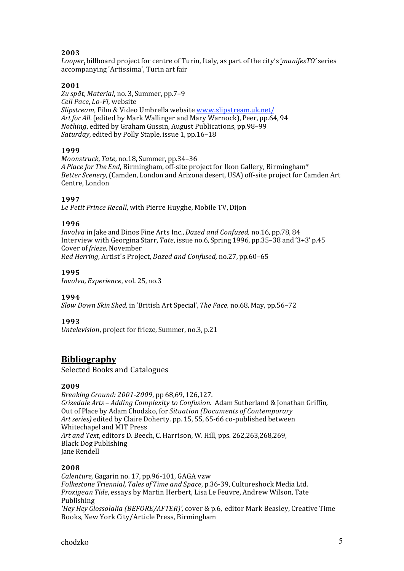## **2003**

*Looper*, billboard project for centre of Turin, Italy, as part of the city's '*manifesTO'* series accompanying 'Artissima', Turin art fair

## **2001**

*Zu spät*, *Material*, no. 3, Summer, pp.7–9 *Cell Pace, Lo-Fi, website Slipstream*, Film & Video Umbrella website www.slipstream.uk.net/ *Art for All*. (edited by Mark Wallinger and Mary Warnock), Peer, pp.64, 94 *Nothing*, edited by Graham Gussin, August Publications, pp.98–99 *Saturday*, edited by Polly Staple, issue 1, pp.16–18

## **1999**

*Moonstruck*, *Tate*, no.18, Summer, pp.34–36 *A Place for The End*, Birmingham, off‐site project for Ikon Gallery, Birmingham\* *Better Scenery*, (Camden, London and Arizona desert, USA) off‐site project for Camden Art Centre, London

## **1997**

*Le Petit Prince Recall*, with Pierre Huyghe, Mobile TV, Dijon

## **1996**

*Involva* in Jake and Dinos Fine Arts Inc., *Dazed and Confused,* no.16, pp.78, 84 Interview with Georgina Starr, *Tate*, issue no.6, Spring 1996, pp.35–38 and '3+3' p.45 Cover of *frieze*, November *Red Herring*, Artist's Project, *Dazed and Confused,* no.27, pp.60–65

## **1995**

*Involva, Experience*, vol. 25, no.3

## **1994**

*Slow Down Skin Shed,* in 'British Art Special', *The Face,* no.68, May, pp.56–72

## **1993**

*Untelevision*, project for frieze, Summer, no.3, p.21

## **Bibliography**

Selected Books and Catalogues

## **2009**

*Breaking Ground: 20012009*, pp 68,69, 126,127. *Grizedale Arts – Adding Complexity to Confusion.* Adam Sutherland & Jonathan Griffin*,* Out of Place by Adam Chodzko, for *Situation (Documents of Contemporary Art series)* edited by Claire Doherty. pp. 15, 55, 65‐66 co‐published between Whitechapel and MIT Press *Art and Text*, editors D. Beech, C. Harrison, W. Hill, pps. 262,263,268,269, Black Dog Publishing Jane Rendell

## **2008**

*Calenture,* Gagarin no. 17, pp.96‐101, GAGA vzw *Folkestone Triennial, Tales of Time and Space*, p.36‐39, Cultureshock Media Ltd. *Proxigean Tide*, essays by Martin Herbert, Lisa Le Feuvre, Andrew Wilson, Tate Publishing *'Hey Hey Glossolalia (BEFORE/AFTER)',* cover & p.6, editor Mark Beasley, Creative Time Books, New York City/Article Press, Birmingham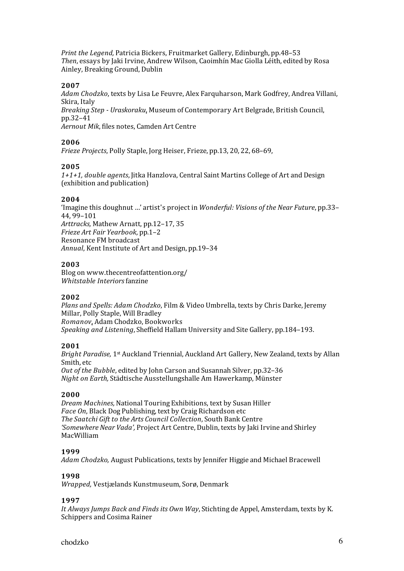*Print the Legend,* Patricia Bickers, Fruitmarket Gallery, Edinburgh, pp.48–53 *Then*, essays by Jaki Irvine, Andrew Wilson, Caoimhín Mac Giolla Léith, edited by Rosa Ainley, Breaking Ground, Dublin

## **2007**

*Adam Chodzko*, texts by Lisa Le Feuvre, Alex Farquharson, Mark Godfrey, Andrea Villani, Skira, Italy *Breaking Step Uraskoraku*, Museum of Contemporary Art Belgrade, British Council, pp.32–41 *Aernout Mik*, files notes, Camden Art Centre

## **2006**

*Frieze Projects*, Polly Staple, Jorg Heiser, Frieze, pp.13, 20, 22, 68–69,

## **2005**

*1+1+1, double agents*, Jitka Hanzlova, Central Saint Martins College of Art and Design (exhibition and publication)

### **2004**

'Imagine this doughnut …' artist's project in *Wonderful: Visions of the Near Future*, pp.33– 44, 99–101 *Arttracks,* Mathew Arnatt, pp.12–17, 35 *Frieze Art Fair Yearbook*, pp.1–2 Resonance FM broadcast *Annual*, Kent Institute of Art and Design, pp.19–34

### **2003**

Blog on www.thecentreofattention.org/ *Whitstable Interiors* fanzine

### **2002**

*Plans and Spells: Adam Chodzko*, Film & Video Umbrella, texts by Chris Darke, Jeremy Millar, Polly Staple, Will Bradley *Romanov*, Adam Chodzko, Bookworks *Speaking and Listening*, Sheffield Hallam University and Site Gallery, pp.184–193.

### **2001**

*Bright Paradise,* 1st Auckland Triennial, Auckland Art Gallery, New Zealand, texts by Allan Smith, etc *Out of the Bubble*, edited by John Carson and Susannah Silver, pp.32–36 *Night on Earth,* Städtische Ausstellungshalle Am Hawerkamp, Münster

### **2000**

*Dream Machines,* National Touring Exhibitions, text by Susan Hiller *Face On*, Black Dog Publishing, text by Craig Richardson etc *The Saatchi Gift to the Arts Council Collection*, South Bank Centre *'Somewhere Near Vada',* Project Art Centre, Dublin, texts by Jaki Irvine and Shirley MacWilliam

### **1999**

*Adam Chodzko,* August Publications, texts by Jennifer Higgie and Michael Bracewell

### **1998**

*Wrapped,* Vestjælands Kunstmuseum, Sorø, Denmark

## **1997**

*It Always Jumps Back and Finds its Own Way*, Stichting de Appel, Amsterdam, texts by K. Schippers and Cosima Rainer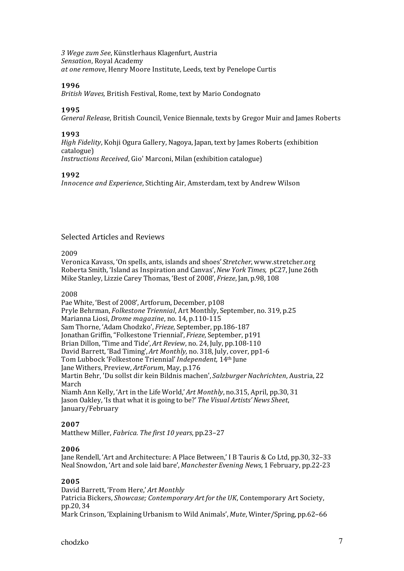*3 Wege zum See*, Künstlerhaus Klagenfurt, Austria *Sensation*, Royal Academy *at one remove*, Henry Moore Institute, Leeds, text by Penelope Curtis

### **1996**

*British Waves,* British Festival, Rome, text by Mario Condognato

## **1995**

*General Release*, British Council, Venice Biennale, texts by Gregor Muir and James Roberts

### **1993**

*High Fidelity*, Kohji Ogura Gallery, Nagoya, Japan, text by James Roberts (exhibition catalogue)

*Instructions Received*, Gio' Marconi, Milan (exhibition catalogue)

## **1992**

*Innocence and Experience*, Stichting Air, Amsterdam, text by Andrew Wilson

## Selected Articles and Reviews

### 2009

Veronica Kavass, 'On spells, ants, islands and shoes' *Stretcher*, www.stretcher.org Roberta Smith, 'Island as Inspiration and Canvas', *New York Times,*  pC27, June 26th Mike Stanley, Lizzie Carey Thomas, 'Best of 2008', *Frieze*, Jan, p.98, 108

### 2008

Pae White, 'Best of 2008', Artforum, December, p108 Pryle Behrman, *Folkestone Triennial*, Art Monthly, September, no. 319, p.25 Marianna Liosi, *Drome magazine*, no. 14, p.110‐115 Sam Thorne, 'Adam Chodzko', *Frieze,* September, pp.186‐187 Jonathan Griffin, "Folkestone Triennial', *Frieze,* September, p191 Brian Dillon, 'Time and Tide', *Art Review*, no. 24, July, pp.108‐110 David Barrett, 'Bad Timing', *Art Monthly,* no. 318, July, cover, pp1‐6 Tom Lubbock 'Folkestone Triennial' *Independent,* 14th June Jane Withers, Preview, *ArtForum*, May, p.176 Martin Behr, 'Du sollst dir kein Bildnis machen', *Salzburger Nachrichten*, Austria, 22 March Niamh Ann Kelly, 'Art in the Life World,' *Art Monthly*, no.315, April, pp.30, 31 Jason Oakley, 'Is that what it is going to be?' *The Visual Artists' News Sheet*, January/February

## **2007**

Matthew Miller, *Fabrica. The first 10 years*, pp.23–27

### **2006**

Jane Rendell, 'Art and Architecture: A Place Between,' I B Tauris & Co Ltd, pp.30, 32–33 Neal Snowdon, 'Art and sole laid bare', *Manchester Evening News*, 1 February, pp.22‐23

## **2005**

David Barrett, 'From Here,' *Art Monthly* Patricia Bickers, *Showcase; Contemporary Art for the UK*, Contemporary Art Society, pp.20, 34 Mark Crinson, 'Explaining Urbanism to Wild Animals', *Mute*, Winter/Spring, pp.62–66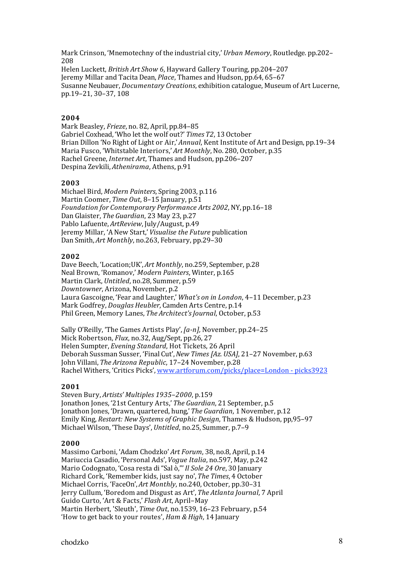Mark Crinson, 'Mnemotechny of the industrial city,' *Urban Memory*, Routledge. pp.202– 208 Helen Luckett, *British Art Show 6*, Hayward Gallery Touring, pp.204–207 Jeremy Millar and Tacita Dean, *Place*, Thames and Hudson, pp.64, 65–67 Susanne Neubauer, *Documentary Creations*, exhibition catalogue, Museum of Art Lucerne, pp.19–21, 30–37, 108

## **2004**

Mark Beasley, *Frieze*, no. 82, April, pp.84–85 Gabriel Coxhead, 'Who let the wolf out?' *Times T2*, 13 October Brian Dillon 'No Right of Light or Air,' *Annual*, Kent Institute of Art and Design, pp.19–34 Maria Fusco, 'Whitstable Interiors,' *Art Monthly*, No. 280, October, p.35 Rachel Greene, *Internet Art*, Thames and Hudson, pp.206–207 Despina Zevkili, *Athenirama*, Athens, p.91

### **2003**

Michael Bird, *Modern Painters*, Spring 2003, p.116 Martin Coomer, *Time Out*, 8–15 January, p.51 *Foundation for Contemporary Performance Arts 2002*, NY, pp.16–18 Dan Glaister, *The Guardian*, 23 May 23, p.27 Pablo Lafuente, *ArtReview*, July/August, p.49 Jeremy Millar, 'A New Start,' *Visualise the Future* publication Dan Smith, *Art Monthly*, no.263, February, pp.29–30

### **2002**

Dave Beech, 'Location;UK', *Art Monthly*, no.259, September, p.28 Neal Brown, 'Romanov,' *Modern Painters*, Winter, p.165 Martin Clark, *Untitled*, no.28, Summer, p.59 *Downtowner*, Arizona, November, p.2 Laura Gascoigne, 'Fear and Laughter,' *What's on in London*, 4–11 December, p.23 Mark Godfrey, *Douglas Heubler*, Camden Arts Centre, p.14 Phil Green, Memory Lanes, *The Architect's Journal*, October, p.53

Sally O'Reilly, 'The Games Artists Play', *[a-n]*, November, pp.24-25 Mick Robertson, *Flux*, no.32, Aug/Sept, pp.26, 27 Helen Sumpter, *Evening Standard*, Hot Tickets, 26 April Deborah Sussman Susser, 'Final Cut', *New Times [Az. USA]*, 21–27 November, p.63 John Villani, *The Arizona Republic*, 17–24 November, p.28 Rachel Withers, 'Critics Picks', www.artforum.com/picks/place=London ‐ picks3923

#### **2001**

Steven Bury, *Artists' Multiples 1935–2000*, p.159 Jonathon Jones, '21st Century Arts,' *The Guardian*, 21 September, p.5 Jonathon Jones, 'Drawn, quartered, hung,' *The Guardian*, 1 November, p.12 Emily King, *Restart: New Systems of Graphic Design*, Thames & Hudson, pp,95–97 Michael Wilson, 'These Days', *Untitled*, no.25, Summer, p.7–9

#### **2000**

Massimo Carboni, 'Adam Chodzko' *Art Forum*, 38, no.8, April, p.14 Mariuccia Casadio, 'Personal Ads', *Vogue Italia*, no.597, May, p.242 Mario Codognato, 'Cosa resta di "Sal ò,"' *Il Sole 24 Ore*, 30 January Richard Cork, 'Remember kids, just say no', *The Times*, 4 October Michael Corris, 'FaceOn', *Art Monthly*, no.240, October, pp.30–31 Jerry Cullum, 'Boredom and Disgust as Art', *The Atlanta Journal*, 7 April Guido Curto, 'Art & Facts,' *Flash Art*, April–May Martin Herbert, 'Sleuth', *Time Out*, no.1539, 16–23 February, p.54 'How to get back to your routes', *Ham & High*, 14 January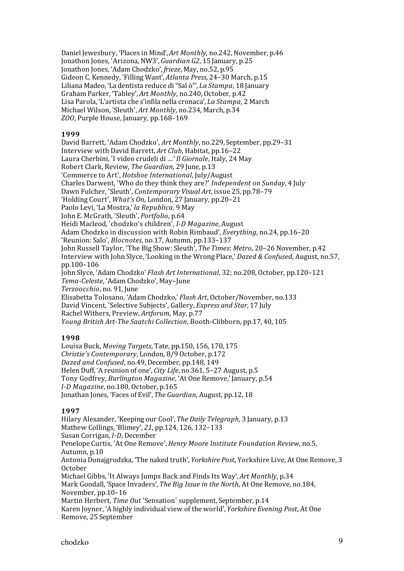Daniel Jewesbury, 'Places in Mind', *Art Monthly,* no.242, November, p.46 Jonathon Jones, 'Arizona, NW3', *Guardian G2*, 15 January, p.25 Jonathon Jones, 'Adam Chodzko', *frieze*, May, no.52, p.95 Gideon C. Kennedy, 'Filling Want', *Atlanta Press*, 24–30 March, p.15 Liliana Madeo, 'La dentista reduce di "Sal ò"', *La Stampa*, 18 January Graham Parker, 'Tabley', *Art Monthly*, no.240, October, p.42 Lisa Parola, 'L'artista che s'infila nella cronaca', *La Stampa*, 2 March Michael Wilson, 'Sleuth', *Art Monthly*, no.234, March, p.34 *ZOO*, Purple House, January, pp.168–169

### **1999**

David Barrett, 'Adam Chodzko', *Art Monthly*, no.229, September, pp.29–31 Interview with David Barrett, *Art Club*, Habitat, pp.16–22 Laura Cherbini, 'I video crudeli di …*' Il Giornale*, Italy, 24 May Robert Clark, Review, *The Guardian*, 29 June, p.13 'Commerce to Art', *Hotshoe International*, July/August Charles Darwent, 'Who do they think they are?' *Independent on Sunday*, 4 July Dawn Fulcher, 'Sleuth', *Contemporary Visual Art*, issue 25, pp.78–79 'Holding Court', *What's On*, London, 27 January, pp.20–21 Paolo Levi, 'La Mostra,' *la Republica*, 9 May John E. McGrath, 'Sleuth', *Portfolio*, p.64 Heidi Macleod, 'chodzko's children', *ID Magazine*, August Adam Chodzko in discussion with Robin Rimbaud', *Everything*, no.24, pp.16–20 'Reunion: Salo', *Blocnotes*, no.17, Autumn, pp.133–137 John Russell Taylor, 'The Big Show: Sleuth', *The Times*: *Metro*, 20–26 November, p.42 Interview with John Slyce, 'Looking in the Wrong Place,' *Dazed & Confused*, August, no.57, pp.100–106 John Slyce, 'Adam Chodzko' *Flash Art International*, 32; no.208, October, pp.120–121 *TemaCeleste*, 'Adam Chodzko', May–June *Terzoocchio*, no. 91, June Elisabetta Tolosano, 'Adam Chodzko,' *Flash Art*, October/November, no.133 David Vincent, 'Selective Subjects', Gallery, *Express and Star*, 17 July Rachel Withers, Preview, *Artforum*, May, p.77 *Young British Art-The Saatchi Collection, Booth-Clibborn, pp.17, 40, 105* 

## **1998**

Louisa Buck, *Moving Targets*, Tate, pp.150, 156, 170, 175 *Christie's Contemporary*, London, 8/9 October, p.172 *Dazed and Confused*, no.49, December, pp.148, 149 Helen Duff, 'A reunion of one', *City Life*, no.361, 5–27 August, p.5 Tony Godfrey, *Burlington Magazine*, 'At One Remove,' January, p.54 *ID Magazine*, no.180, October, p.165 Jonathan Jones, 'Faces of Evil', *The Guardian*, August, pp.12, 18

## **1997**

Hilary Alexander, 'Keeping our Cool', *The Daily Telegraph*, 3 January, p.13 Mathew Collings, 'Blimey', *21*, pp.124, 126, 132–133 Susan Corrigan, *I-D*, December Penelope Curtis, 'At One Remove', *Henry Moore Institute Foundation Review,* no.5, Autumn, p.10 Antonia Donajgrodzka, 'The naked truth', *Yorkshire Post*, Yorkshire Live, At One Remove, 3 October Michael Gibbs, 'It Always Jumps Back and Finds Its Way', *Art Monthly*, p.34 Mark Goodall, 'Space Invaders', *The Big Issue in the North*, At One Remove, no.184, November, pp.10–16 Martin Herbert, *Time Out* 'Sensation' supplement, September, p.14 Karen Joyner, 'A highly individual view of the world', *Yorkshire Evening Post*, At One Remove, 25 September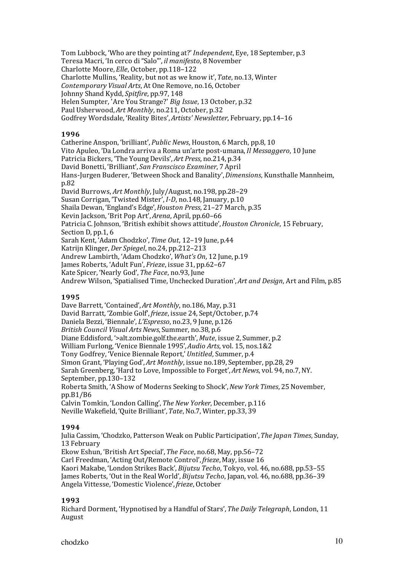Tom Lubbock, 'Who are they pointing at?' *Independent*, Eye, 18 September, p.3 Teresa Macri, 'In cerco di "Salo"', *il manifesto*, 8 November Charlotte Moore, *Elle*, October, pp.118–122 Charlotte Mullins, 'Reality, but not as we know it', *Tate*, no.13, Winter *Contemporary Visual Arts*, At One Remove, no.16, October Johnny Shand Kydd, *Spitfire*, pp.97, 148 Helen Sumpter, 'Are You Strange?' *Big Issue*, 13 October, p.32 Paul Usherwood, *Art Monthly*, no.211, October, p.32 Godfrey Wordsdale, 'Reality Bites', *Artists' Newsletter*, February, pp.14–16

### **1996**

Catherine Anspon, 'brilliant', *Public News*, Houston, 6 March, pp.8, 10 Vito Apuleo, 'Da Londra arriva a Roma un'arte post‐umana, *Il Messaggero*, 10 June Patricia Bickers, 'The Young Devils', *Art Press*, no.214, p.34 David Bonetti, 'Brilliant', *San Franscisco Examiner*, 7 April Hans‐Jurgen Buderer, 'Between Shock and Banality', *Dimensions*, Kunsthalle Mannheim, p.82 David Burrows, *Art Monthly*, July/August, no.198, pp.28–29 Susan Corrigan, 'Twisted Mister', *I-D*, no.148, January, p.10 Shaila Dewan, 'England's Edge', *Houston Press*, 21–27 March, p.35 Kevin Jackson, 'Brit Pop Art', *Arena*, April, pp.60–66 Patricia C. Johnson, 'British exhibit shows attitude', *Houston Chronicle*, 15 February, Section D, pp.1, 6 Sarah Kent, 'Adam Chodzko', *Time Out*, 12–19 June, p.44 Katrijn Klinger, *Der Spiegel*, no.24, pp.212–213 Andrew Lambirth, 'Adam Chodzko', *What's On*, 12 June, p.19 James Roberts, 'Adult Fun', *Frieze*, issue 31, pp.62–67 Kate Spicer, 'Nearly God', *The Face*, no.93, June Andrew Wilson, 'Spatialised Time, Unchecked Duration', *Art and Design*, Art and Film, p.85

### **1995**

Dave Barrett, 'Contained', *Art Monthly*, no.186, May, p.31 David Barratt, 'Zombie Golf', *frieze*, issue 24, Sept/October, p.74 Daniela Bezzi, 'Biennale', *L'Espresso*, no.23, 9 June, p.126 *British Council Visual Arts News*, Summer, no.38, p.6 Diane Eddisford, '>alt.zombie.golf.the.earth', *Mute*, issue 2, Summer, p.2 William Furlong, 'Venice Biennale 1995', *Audio Arts*, vol. 15, nos.1&2 Tony Godfrey, 'Venice Biennale Report,' *Untitled*, Summer, p.4 Simon Grant, 'Playing God', *Art Monthly*, issue no.189, September, pp.28, 29 Sarah Greenberg, 'Hard to Love, Impossible to Forget', *Art News*, vol. 94, no.7, NY. September, pp.130–132 Roberta Smith, 'A Show of Moderns Seeking to Shock', *New York Times*, 25 November, pp.B1/B6 Calvin Tomkin, 'London Calling', *The New Yorker*, December, p.116 Neville Wakefield, 'Quite Brilliant', *Tate*, No.7, Winter, pp.33, 39

## **1994**

Julia Cassim, 'Chodzko, Patterson Weak on Public Participation', *The Japan Times*, Sunday, 13 February Ekow Eshun, 'British Art Special', *The Face*, no.68, May, pp.56–72 Carl Freedman, 'Acting Out/Remote Control', *frieze*, May, issue 16 Kaori Makabe, 'London Strikes Back', *Bijutsu Techo*, Tokyo, vol. 46, no.688, pp.53–55 James Roberts, 'Out in the Real World', *Bijutsu Techo*, Japan, vol. 46, no.688, pp.36–39 Angela Vittesse, 'Domestic Violence', *frieze*, October

## **1993**

Richard Dorment, 'Hypnotised by a Handful of Stars', *The Daily Telegraph*, London, 11 August